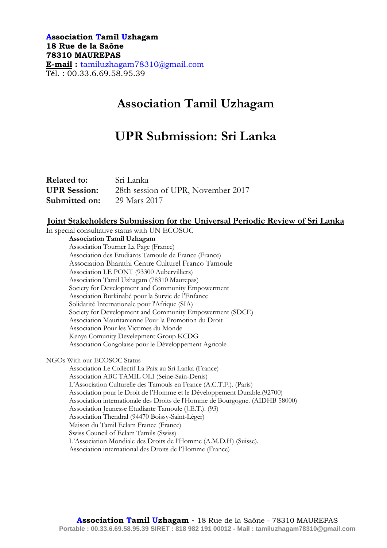## **Association Tamil Uzhagam 18 Rue de la Saône 78310 MAUREPAS E-mail :** tamiluzhagam78310@gmail.com Tél. : 00.33.6.69.58.95.39

# **Association Tamil Uzhagam**

# **UPR Submission: Sri Lanka**

| <b>Related to:</b>  | Sri Lanka                          |
|---------------------|------------------------------------|
| <b>UPR</b> Session: | 28th session of UPR, November 2017 |
| Submitted on:       | 29 Mars 2017                       |

## **Joint Stakeholders Submission for the Universal Periodic Review of Sri Lanka**

In special consultative status with UN ECOSOC

**Association Tamil Uzhagam** Association Tourner La Page (France) Association des Etudiants Tamoule de France (France) Association Bharathi Centre Culturel Franco Tamoule Association LE PONT (93300 Aubervilliers) Association Tamil Uzhagam (78310 Maurepas) Society for Development and Community Empowerment Association Burkinabé pour la Survie de l'Enfance Solidarité Internationale pour l'Afrique (SIA) Society for Development and Community Empowerment (SDCE) Association Mauritanienne Pour la Promotion du Droit Association Pour les Victimes du Monde Kenya Comunity Develepment Group KCDG Association Congolaise pour le Développement Agricole

NGOs With our ECOSOC Status

Association Le Collectif La Paix au Sri Lanka (France) Association ABC TAMIL OLI (Seine-Sain-Denis) L'Association Culturelle des Tamouls en France (A.C.T.F.). (Paris) Association pour le Droit de l'Homme et le Développement Durable.(92700) Association internationale des Droits de l'Homme de Bourgogne. (AIDHB 58000) Association Jeunesse Etudiante Tamoule (J.E.T.). (93) Association Thendral (94470 Boissy-Saint-Léger) Maison du Tamil Eelam France (France) Swiss Council of Eelam Tamils (Swiss) L'Association Mondiale des Droits de l'Homme (A.M.D.H) (Suisse). Association international des Droits de l'Homme (France)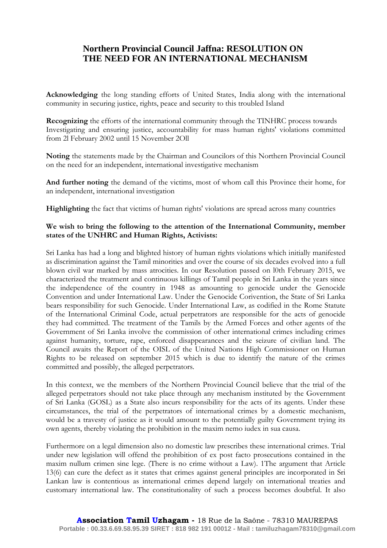## **Northern Provincial Council Jaffna: RESOLUTION ON THE NEED FOR AN INTERNATIONAL MECHANISM**

**Acknowledging** the long standing efforts of United States, India along with the international community in securing justice, rights, peace and security to this troubled Island

**Recognizing** the efforts of the international community through the TINHRC process towards Investigating and ensuring justice, accountability for mass human rights' violations committed from 2l February 2002 until 15 November 2Oll

**Noting** the statements made by the Chairman and Councilors of this Northern Provincial Council on the need for an independent, international investigative mechanism

**And further noting** the demand of the victims, most of whom call this Province their home, for an independent, international investigation

**Highlighting** the fact that victims of human rights' violations are spread across many countries

### **We wish to bring the following to the attention of the International Community, member states of the UNHRC and Human Rights, Activists:**

Sri Lanka has had a long and blighted history of human rights violations which initially manifested as discrimination against the Tamil minorities and over the course of six decades evolved into a full blown civil war marked by mass atrocities. In our Resolution passed on l0th February 2015, we characterized the treatment and continuous killings of Tamil people in Sri Lanka in the years since the independence of the country in 1948 as amounting to genocide under the Genocide Convention and under International Law. Under the Genocide Corivention, the State of Sri Lanka bears responsibility for such Genocide. Under International Law, as codified in the Rome Statute of the International Criminal Code, actual perpetrators are responsible for the acts of genocide they had committed. The treatment of the Tamils by the Armed Forces and other agents of the Government of Sri Lanka involve the commission of other international crimes including crimes against humanity, torture, rape, enforced disappearances and the seizure of civilian land. The Council awaits the Report of the OISL of the United Nations High Commissioner on Human Rights to be released on september 2015 which is due to identify the nature of the crimes committed and possibly, the alleged perpetrators.

In this context, we the members of the Northern Provincial Council believe that the trial of the alleged perpetrators should not take place through any mechanism instituted by the Government of Sri Lanka (GOSL) as a State also incurs responsibility for the acts of its agents. Under these circumstances, the trial of the perpetrators of international crimes by a domestic mechanism, would be a travesty of justice as it would amount to the potentially guilty Government trying its own agents, thereby violating the prohibition in the maxim nemo iudex in sua causa.

Furthermore on a legal dimension also no domestic law prescribes these international crimes. Trial under new legislation will offend the prohibition of ex post facto prosecutions contained in the maxim nullum crimen sine lege. (There is no crime without a Law). 1The argument that Article 13(6) can cure the defect as it states that crimes against general principles are incorporated in Sri Lankan law is contentious as international crimes depend largely on international treaties and customary international law. The constitutionality of such a process becomes doubtful. It also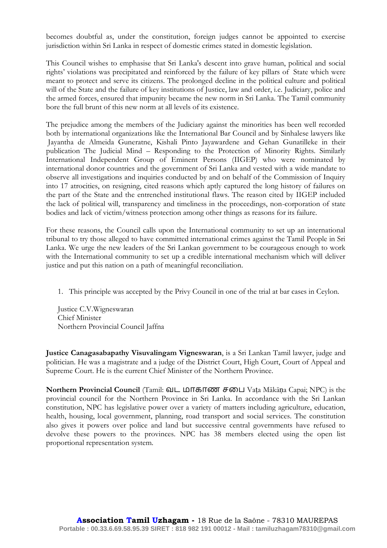becomes doubtful as, under the constitution, foreign judges cannot be appointed to exercise jurisdiction within Sri Lanka in respect of domestic crimes stated in domestic legislation.

This Council wishes to emphasise that Sri Lanka's descent into grave human, political and social rights' violations was precipitated and reinforced by the failure of key pillars of State which were meant to protect and serve its citizens. The prolonged decline in the political culture and political will of the State and the failure of key institutions of Justice, law and order, i.e. Judiciary, police and the armed forces, ensured that impunity became the new norm in Sri Lanka. The Tamil community bore the full brunt of this new norm at all levels of its existence.

The prejudice among the members of the Judiciary against the minorities has been well recorded both by international organizations like the International Bar Council and by Sinhalese lawyers like Jayantha de Almeida Guneratne, Kishali Pinto Jayawardene and Gehan Gunatilleke in their publication The Judicial Mind – Responding to the Protection of Minority Rights. Similarly International Independent Group of Eminent Persons (IIGEP) who were nominated by international donor countries and the government of Sri Lanka and vested with a wide mandate to observe all investigations and inquiries conducted by and on behalf of the Commission of Inquiry into 17 atrocities, on resigning, cited reasons which aptly captured the long history of failures on the part of the State and the entrenched institutional flaws. The reason cited by IIGEP included the lack of political will, transparency and timeliness in the proceedings, non-corporation of state bodies and lack of victim/witness protection among other things as reasons for its failure.

For these reasons, the Council calls upon the International community to set up an international tribunal to try those alleged to have committed international crimes against the Tamil People in Sri Lanka. We urge the new leaders of the Sri Lankan government to be courageous enough to work with the International community to set up a credible international mechanism which will deliver justice and put this nation on a path of meaningful reconciliation.

1. This principle was accepted by the Privy Council in one of the trial at bar cases in Ceylon.

Justice C.V.Wigneswaran Chief Minister Northern Provincial Council Jaffna

**Justice Canagasabapathy Visuvalingam Vigneswaran**, is a Sri Lankan Tamil lawyer, judge and politician. He was a magistrate and a judge of the District Court, High Court, Court of Appeal and Supreme Court. He is the current Chief Minister of the Northern Province.

**Northern Provincial Council** (Tamil: வட மாகாண சபை Vata Mākāṇa Capai; NPC) is the provincial council for the Northern Province in Sri Lanka. In accordance with the Sri Lankan constitution, NPC has legislative power over a variety of matters including agriculture, education, health, housing, local government, planning, road transport and social services. The constitution also gives it powers over police and land but successive central governments have refused to devolve these powers to the provinces. NPC has 38 members elected using the open list proportional representation system.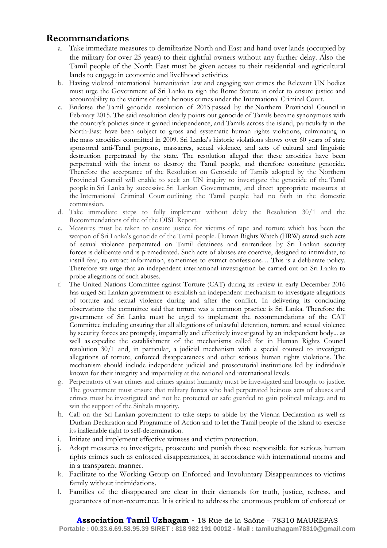# **Recommandations**

- a. Take immediate measures to demilitarize North and East and hand over lands (occupied by the military for over 25 years) to their rightful owners without any further delay. Also the Tamil people of the North East must be given access to their residential and agricultural lands to engage in economic and livelihood activities
- b. Having violated international humanitarian law and engaging war crimes the Relevant UN bodies must urge the Government of Sri Lanka to sign the Rome Statute in order to ensure justice and accountability to the victims of such heinous crimes under the International Criminal Court.
- c. Endorse the Tamil genocide resolution of 2015 passed by the Northern Provincial Council in February 2015. The said resolution clearly points out genocide of Tamils became synonymous with the country's policies since it gained independence, and Tamils across the island, particularly in the North-East have been subject to gross and systematic human rights violations, culminating in the mass atrocities committed in 2009. Sri Lanka's historic violations shows over 60 years of state sponsored anti-Tamil pogroms, massacres, sexual violence, and acts of cultural and linguistic destruction perpetrated by the state. The resolution alleged that these atrocities have been perpetrated with the intent to destroy the Tamil people, and therefore constitute genocide. Therefore the acceptance of the Resolution on Genocide of Tamils adopted by the Northern Provincial Council will enable to seek an UN inquiry to investigate the genocide of the Tamil people in Sri Lanka by successive Sri Lankan Governments, and direct appropriate measures at the International Criminal Court outlining the Tamil people had no faith in the domestic commission.
- d. Take immediate steps to fully implement without delay the Resolution 30/1 and the Recommendations of the of the OISL Report.
- e. Measures must be taken to ensure justice for victims of rape and torture which has been the weapon of Sri Lanka's genocide of the Tamil people. Human Rights Watch (HRW) stated such acts of sexual violence perpetrated on Tamil detainees and surrendees by Sri Lankan security forces is deliberate and is premeditated. Such acts of abuses are coercive, designed to intimidate, to instill fear, to extract information, sometimes to extract confessions… This is a deliberate policy. Therefore we urge that an independent international investigation be carried out on Sri Lanka to probe allegations of such abuses.
- f. The United Nations Committee against Torture (CAT) during its review in early December 2016 has urged Sri Lankan government to establish an independent mechanism to investigate allegations of torture and sexual violence during and after the conflict. In delivering its concluding observations the committee said that torture was a common practice is Sri Lanka. Therefore the government of Sri Lanka must be urged to implement the recommendations of the CAT Committee including ensuring that all allegations of unlawful detention, torture and sexual violence by security forces are promptly, impartially and effectively investigated by an independent body... as well as expedite the establishment of the mechanisms called for in Human Rights Council resolution 30/1 and, in particular, a judicial mechanism with a special counsel to investigate allegations of torture, enforced disappearances and other serious human rights violations. The mechanism should include independent judicial and prosecutorial institutions led by individuals known for their integrity and impartiality at the national and international levels.
- g. Perpetrators of war crimes and crimes against humanity must be investigated and brought to justice. The government must ensure that military forces who had perpetrated heinous acts of abuses and crimes must be investigated and not be protected or safe guarded to gain political mileage and to win the support of the Sinhala majority.
- h. Call on the Sri Lankan government to take steps to abide by the Vienna Declaration as well as Durban Declaration and Programme of Action and to let the Tamil people of the island to exercise its inalienable right to self-determination.
- i. Initiate and implement effective witness and victim protection.
- j. Adopt measures to investigate, prosecute and punish those responsible for serious human rights crimes such as enforced disappearances, in accordance with international norms and in a transparent manner.
- k. Facilitate to the Working Group on Enforced and Involuntary Disappearances to victims family without intimidations.
- l. Families of the disappeared are clear in their demands for truth, justice, redress, and guarantees of non-recurrence. It is critical to address the enormous problem of enforced or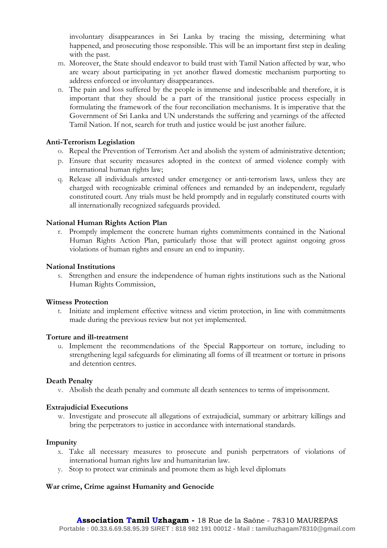involuntary disappearances in Sri Lanka by tracing the missing, determining what happened, and prosecuting those responsible. This will be an important first step in dealing with the past.

- m. Moreover, the State should endeavor to build trust with Tamil Nation affected by war, who are weary about participating in yet another flawed domestic mechanism purporting to address enforced or involuntary disappearances.
- n. The pain and loss suffered by the people is immense and indescribable and therefore, it is important that they should be a part of the transitional justice process especially in formulating the framework of the four reconciliation mechanisms. It is imperative that the Government of Sri Lanka and UN understands the suffering and yearnings of the affected Tamil Nation. If not, search for truth and justice would be just another failure.

### **Anti-Terrorism Legislation**

- o. Repeal the Prevention of Terrorism Act and abolish the system of administrative detention;
- p. Ensure that security measures adopted in the context of armed violence comply with international human rights law;
- q. Release all individuals arrested under emergency or anti-terrorism laws, unless they are charged with recognizable criminal offences and remanded by an independent, regularly constituted court. Any trials must be held promptly and in regularly constituted courts with all internationally recognized safeguards provided.

### **National Human Rights Action Plan**

r. Promptly implement the concrete human rights commitments contained in the National Human Rights Action Plan, particularly those that will protect against ongoing gross violations of human rights and ensure an end to impunity.

### **National Institutions**

s. Strengthen and ensure the independence of human rights institutions such as the National Human Rights Commission,

### **Witness Protection**

t. Initiate and implement effective witness and victim protection, in line with commitments made during the previous review but not yet implemented.

### **Torture and ill-treatment**

u. Implement the recommendations of the Special Rapporteur on torture, including to strengthening legal safeguards for eliminating all forms of ill treatment or torture in prisons and detention centres.

### **Death Penalty**

v. Abolish the death penalty and commute all death sentences to terms of imprisonment.

### **Extrajudicial Executions**

w. Investigate and prosecute all allegations of extrajudicial, summary or arbitrary killings and bring the perpetrators to justice in accordance with international standards.

#### **Impunity**

- x. Take all necessary measures to prosecute and punish perpetrators of violations of international human rights law and humanitarian law.
- y. Stop to protect war criminals and promote them as high level diplomats

### **War crime, Crime against Humanity and Genocide**